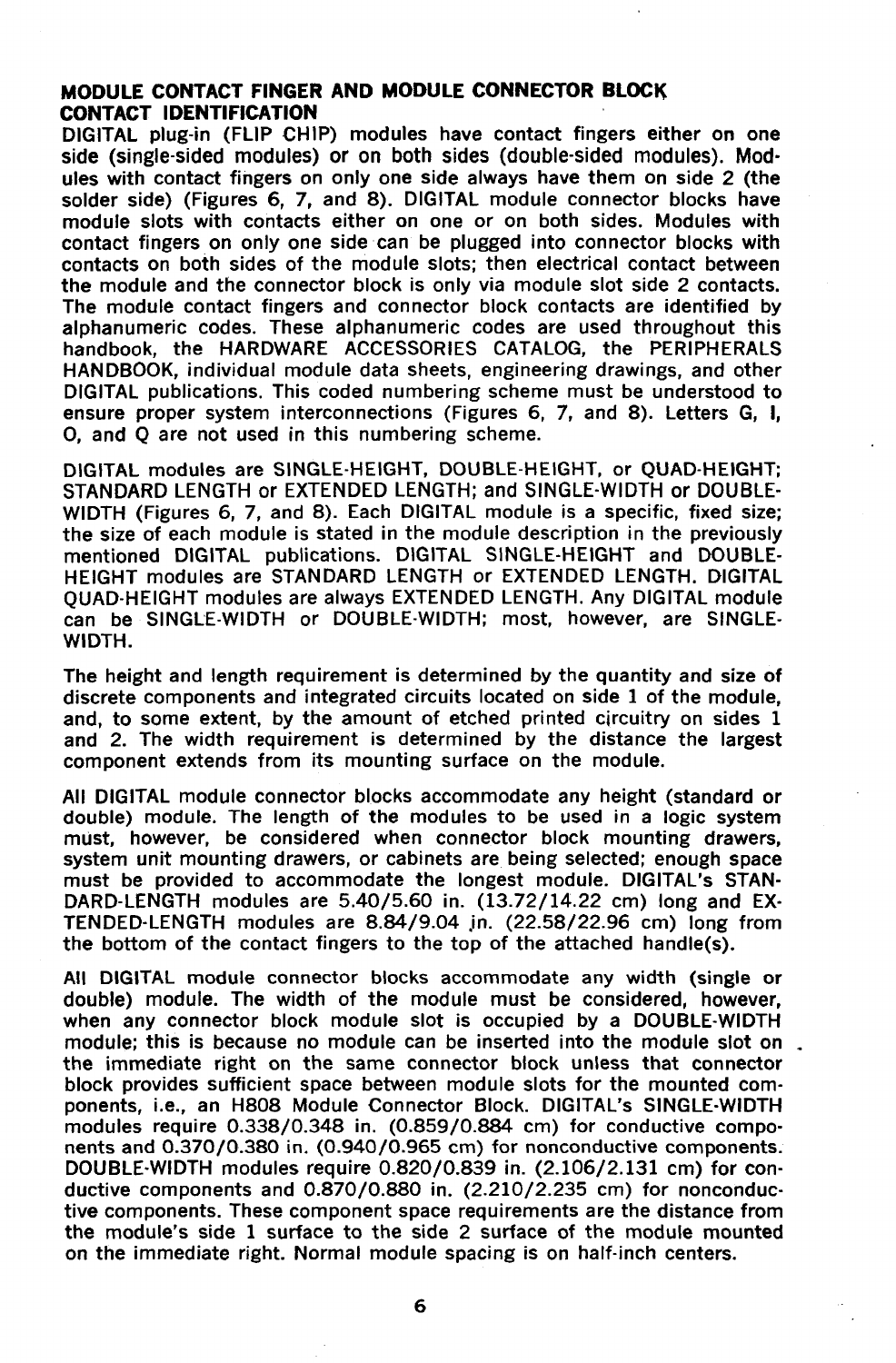## **MODULE CONTACT FINGER AND MODULE CONNECTOR BLOCK CONTACT IDENTIFICATION**

DIGITAL plug-in (FLIP CHIP) modules have contact fingers either on one side (single-sided modules) or on both sides (double-sided modules). Mod· ules with contact fingers on only one side always have them on side 2 (the solder side) (Figures 6, 7, and 8). DIGITAL module connector blocks have module slots with contacts either on one or on both sides. Modules with contact fingers on only one side can be plugged into connector blocks with contacts on both sides of the module slots; then electrical contact between the module and the connector block is only via module slot side 2 contacts. The module contact fingers and connector block contacts are identified by alphanumeric codes. These alphanumeric codes are used throughout this handbook, the HARDWARE ACCESSORIES CATALOG, the PERIPHERALS HANDBOOK, individual module data sheets, engineering drawings, and other DIGITAL publications. This coded numbering scheme must be understood to ensure proper system interconnections (Figures 6, 7, and 8). Letters G, **I,**  0, and Q are not used in this numbering scheme.

DIGITAL modules are SINGLE·HEIGHT, DOUBLE-HEIGHT, or QUAD·HEIGHT; STANDARD LENGTH or EXTENDED LENGTH; and SINGLE·WIDTH or DOUBLE· WIDTH (Figures 6, 7, and 8). Each DIGITAL module is a specific, fixed size; the size of each module is stated in the module description in the previously mentioned DIGITAL publications. DIGITAL SINGLE·HEIGHT and DOUBLE· HEIGHT modules are STANDARD LENGTH or EXTENDED LENGTH. DIGITAL QUAD·HEIGHT modules are always EXTENDED LENGTH. Any DIGITAL module can be SINGLE·WIDTH or DOUBLE-WIDTH; most, however, are SINGLE· WIDTH.

The height and length requirement is determined by the quantity and size of discrete components and integrated circuits located on side 1 of the module, and, to some extent, by the amount of etched printed circuitry on sides 1 and 2. The width requirement is determined by the distance the largest component extends from its mounting surface on the module.

All DIGITAL module connector blocks accommodate any height (standard or double) module. The length of the modules to be used in a logic system must, however, be considered when connector block mounting drawers, system unit mounting drawers, or cabinets are being selected; enough space must be provided to accommodate the longest module. DIGITAL's STAN· DARD-LENGTH modules are 5.40/5.60 in. (13.72/14.22 cm) long and EX· TENDED-LENGTH modules are  $8.84/9.04$  in.  $(22.58/22.96$  cm) long from the bottom of the contact fingers to the top of the attached handle(s).

All DIGITAL module connector blocks accommodate any width (single or double) module. The width of the module must be considered, however, when any connector block module slot is occupied by a DOUBLE·WIDTH module; this is because no module can be inserted into the module slot on. the immediate right on the same connector block unless that connector block provides sufficient space between module slots for the mounted components, i.e., an H808 Module Connector Block. DIGITAL's SINGLE-WIDTH modules require 0.338/0.348 in. (0.859/0.884 cm) for conductive components and 0.370/0.380 in. (0.940/0.965 cm) for nonconductive components. DOUBLE·WIDTH modules require 0.820/0.839 in. (2.106/2.131 cm) for conductive components and 0.870/0.880 in. (2.210/2.235 cm) for nonconduc· tive components. These component space requirements are the distance from the module's side 1 surface to the side 2 surface of the module mounted on the immediate right. Normal module spacing is on half·inch centers.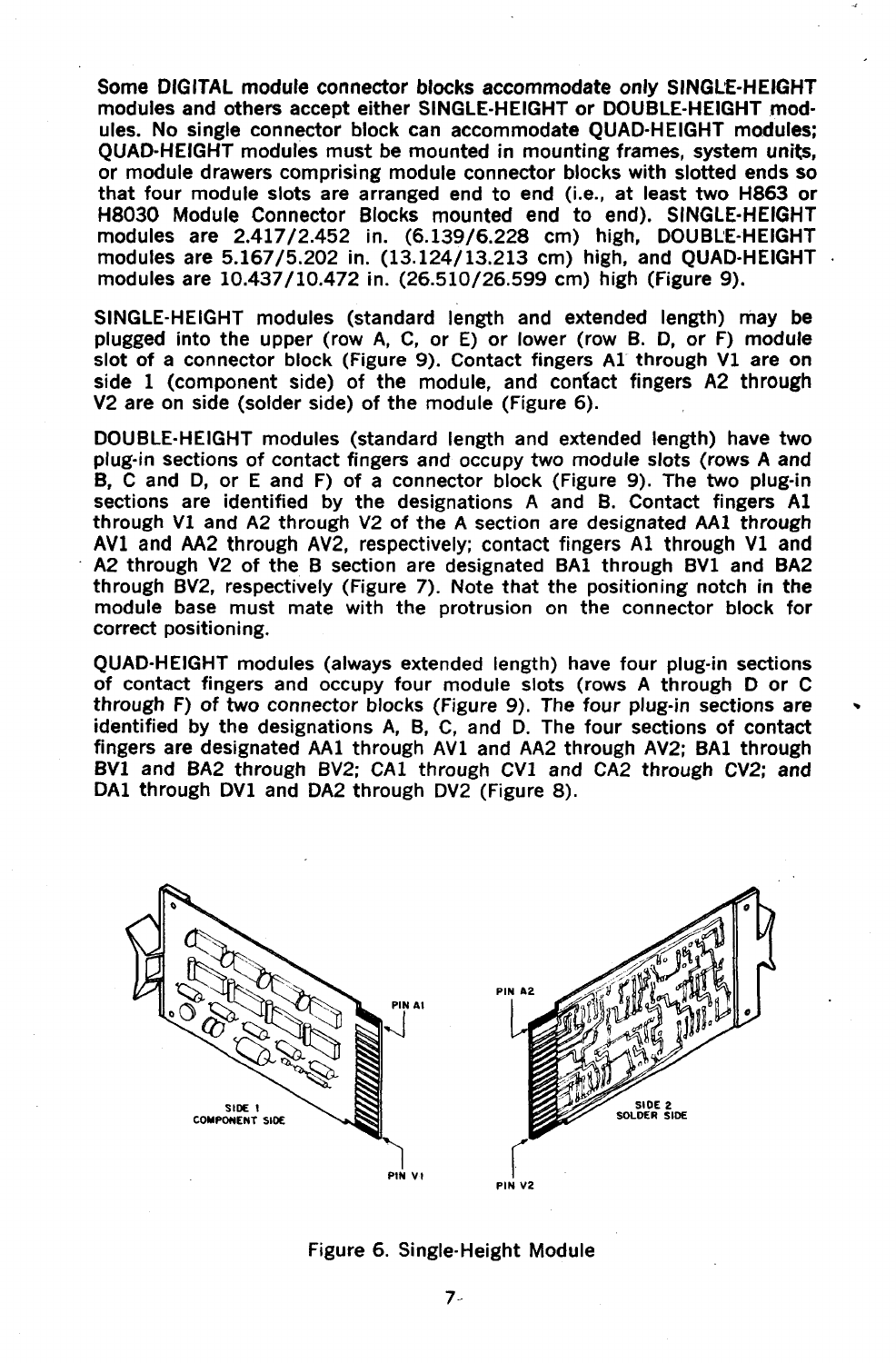Some DIGITAL module connector blocks accommodate only SINGLE-HEIGHT modules and others accept either SINGLE-HEIGHT or DOUBLE-HEIGHT modules. No single connector block can accommodate OUAD-HEIGHT modules; QUAD-HEIGHT modules must be mounted in mounting frames, system units, or module drawers comprising module connector blocks with slotted ends so that four module slots are arranged end to end (Le., at least two H863 or H8030 Module Connector Blocks mounted end to end). SINGLE-HEIGHT modules are 2.417/2.452 in. (6.139/6.228 cm) high, DOUBLE-HEIGHT modules are 5.167/5.202 in. (13.124/13.213 em) high, and QUAD-HEIGHT modules are 10.437/10.472 in. (26.510/26.599 cm) high (Figure 9).

SINGLE-HEIGHT modules (standard length and extended length) may be plugged into the upper (row A, C, or E) or lower (row B. 0, or F) module slot of a connector block (Figure 9). Contact fingers Al through VI are on side 1 (component side) of the module, and contact fingers A2 through V2 are on side (solder side) of the module (Figure 6).

DOUBLE-HEIGHT modules (standard length and extended length) have two plug-in sections of contact fingers and occupy two module slots (rows A and B, C and 0, or E and F) of a connector block (Figure 9). The two plug-in sections are identified by the designations A and B. Contact fingers Al through VI and A2 through V2 of the A section are designated AAI through AVI and AA2 through AV2, respectively; contact fingers Al through VI and A2 through V2 of the B section are designated BAI through BVl and BA2 through BV2, respectively (Figure 7). Note that the positioning notch in the module base must mate with the protrusion on the connector block for correct positioning.

QUAD-HEIGHT modules (always extended length) have four plug-in sections of contact fingers and occupy four module slots (rows A through 0 or C through F) of two connector blocks (Figure 9). The four plug-in sections are identified by the designations A, B, C, and D. The four sections of contact fingers are designated AA1 through AV1 and AA2 through AV2; BA1 through BV1 and BA2 through BV2; CAl through CVl and CA2 through CV2; and DA1 through DV1 and DA2 through DV2 (Figure 8).



## Figure 6. Single-Height Module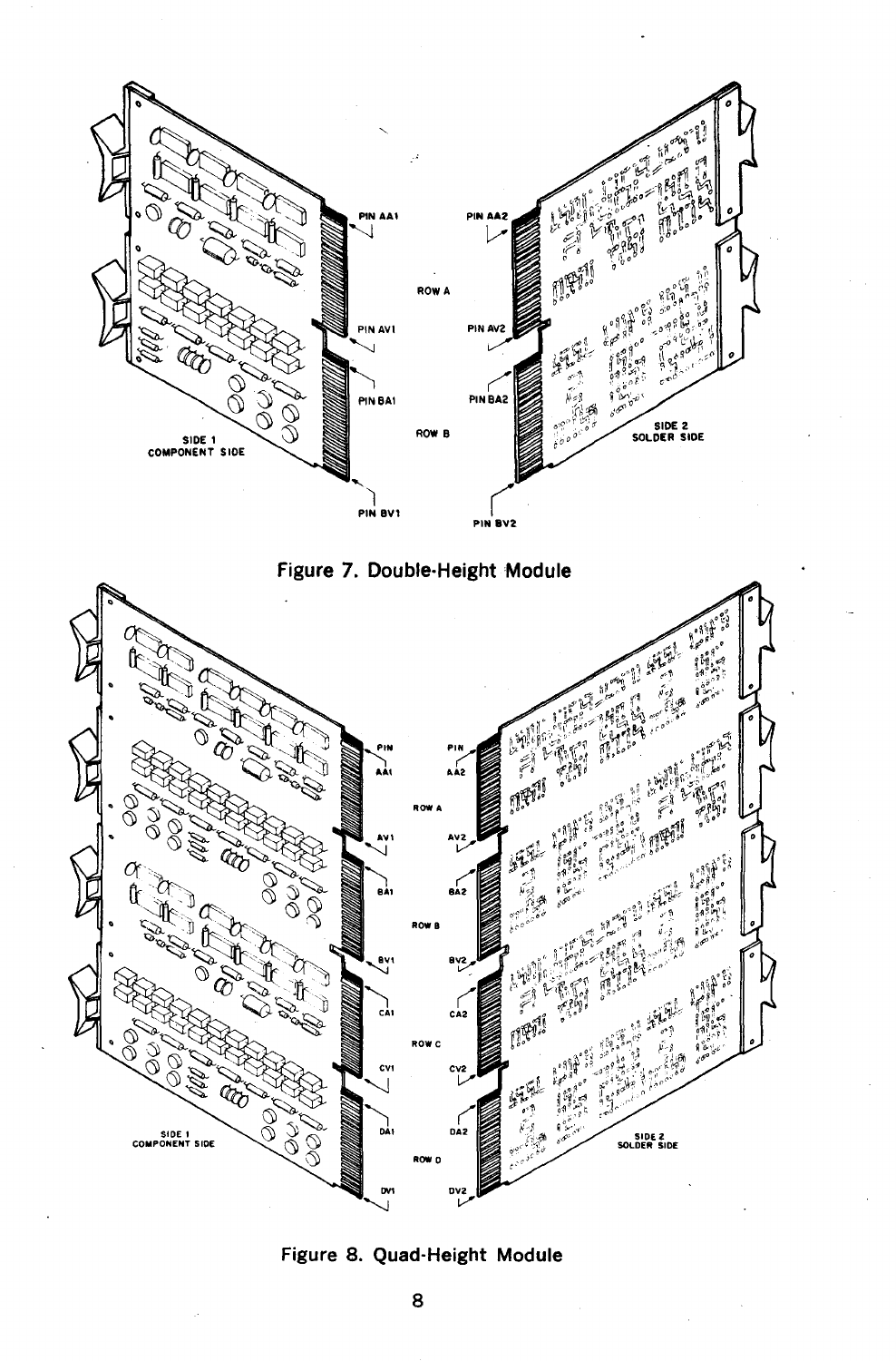





Figure 8. Quad-Height Module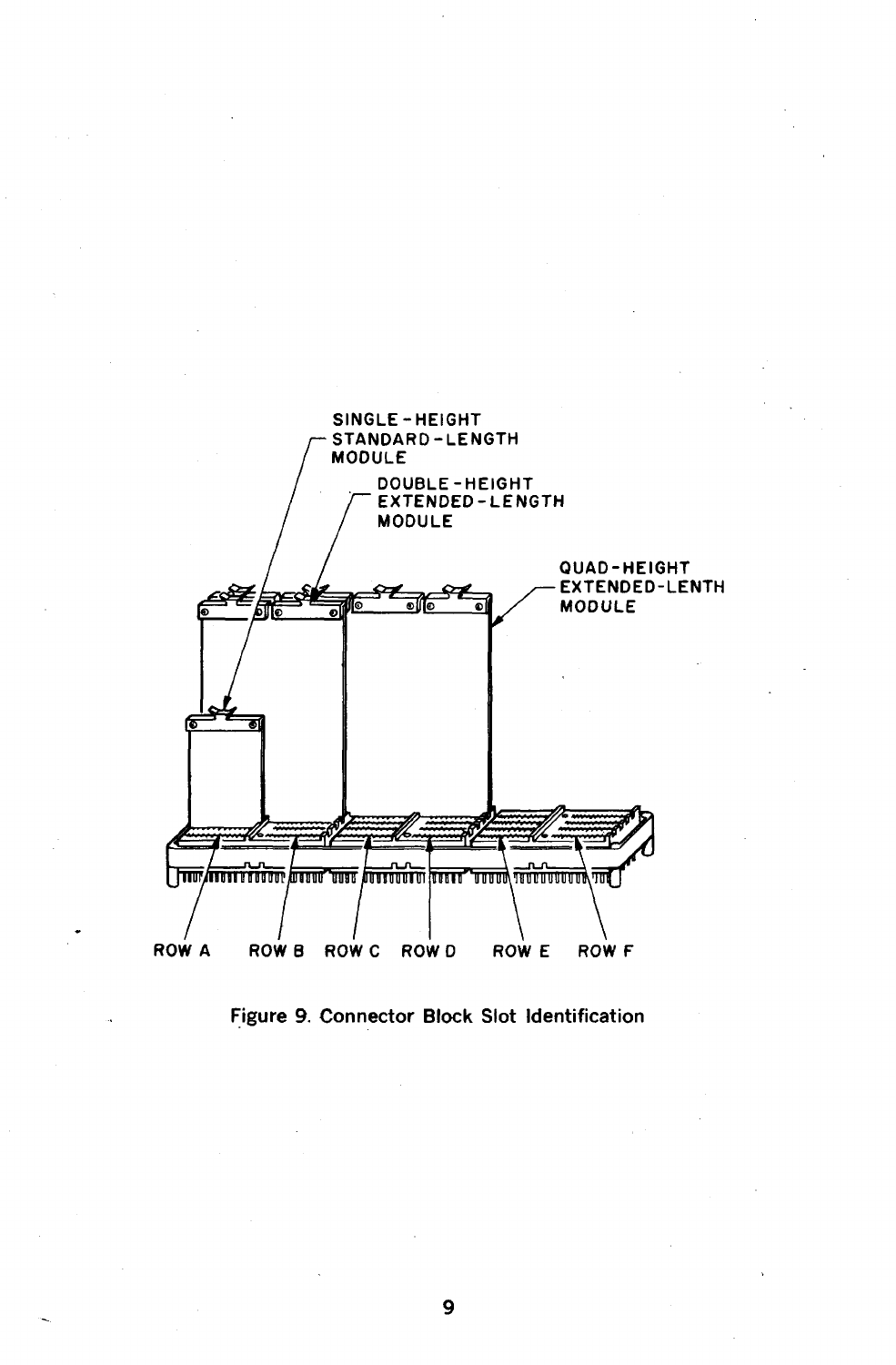

Figure 9. Connector Block Slot Identification